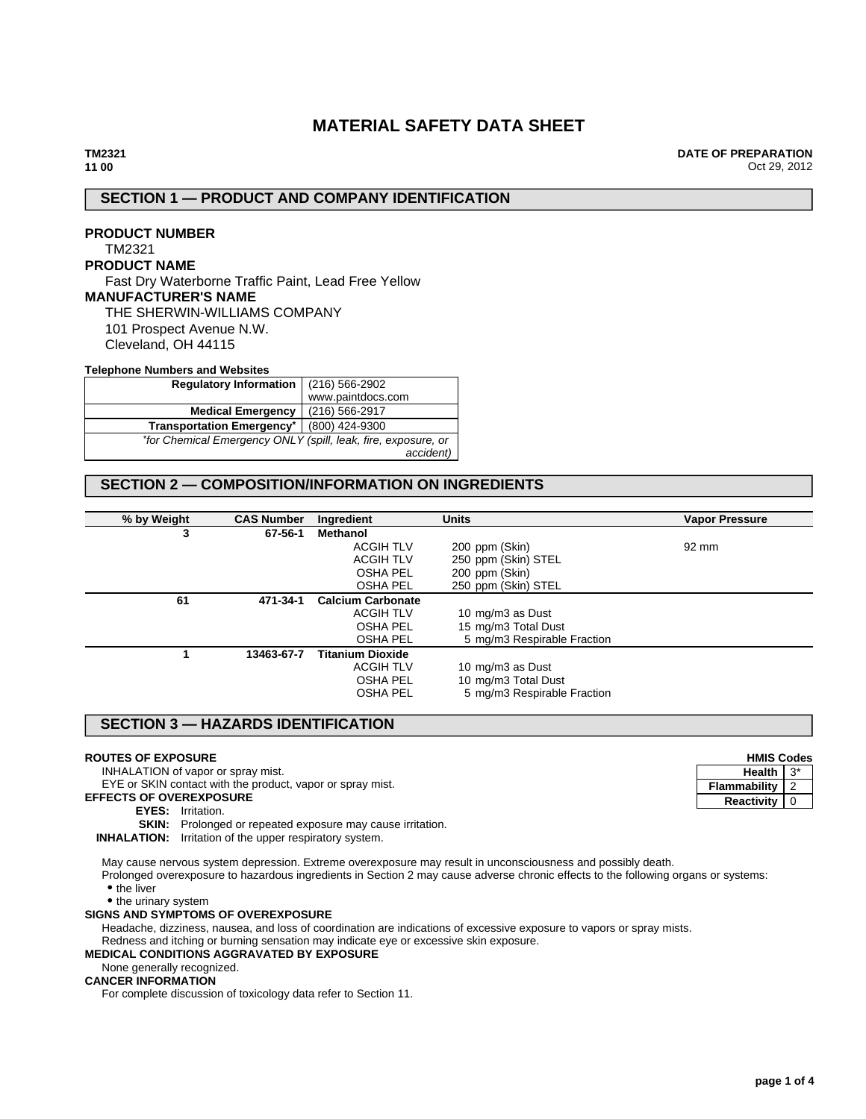# **MATERIAL SAFETY DATA SHEET**

**DATE OF PREPARATION** Oct 29, 2012

# **SECTION 1 — PRODUCT AND COMPANY IDENTIFICATION**

# **PRODUCT NUMBER** TM2321 **PRODUCT NAME** Fast Dry Waterborne Traffic Paint, Lead Free Yellow **MANUFACTURER'S NAME** THE SHERWIN-WILLIAMS COMPANY 101 Prospect Avenue N.W. Cleveland, OH 44115

#### **Telephone Numbers and Websites**

| <b>Regulatory Information</b>                                 | (216) 566-2902    |  |
|---------------------------------------------------------------|-------------------|--|
|                                                               | www.paintdocs.com |  |
| <b>Medical Emergency</b>                                      | (216) 566-2917    |  |
| <b>Transportation Emergency*</b>                              | (800) 424-9300    |  |
| *for Chemical Emergency ONLY (spill, leak, fire, exposure, or |                   |  |
|                                                               | accident)         |  |

# **SECTION 2 — COMPOSITION/INFORMATION ON INGREDIENTS**

| % by Weight | <b>CAS Number</b> | Ingredient               | <b>Units</b>                | <b>Vapor Pressure</b> |
|-------------|-------------------|--------------------------|-----------------------------|-----------------------|
| 3           | 67-56-1           | Methanol                 |                             |                       |
|             |                   | <b>ACGIH TLV</b>         | 200 ppm (Skin)              | 92 mm                 |
|             |                   | <b>ACGIH TLV</b>         | 250 ppm (Skin) STEL         |                       |
|             |                   | <b>OSHA PEL</b>          | 200 ppm (Skin)              |                       |
|             |                   | <b>OSHA PEL</b>          | 250 ppm (Skin) STEL         |                       |
| 61          | 471-34-1          | <b>Calcium Carbonate</b> |                             |                       |
|             |                   | <b>ACGIH TLV</b>         | 10 mg/m3 as Dust            |                       |
|             |                   | <b>OSHA PEL</b>          | 15 mg/m3 Total Dust         |                       |
|             |                   | <b>OSHA PEL</b>          | 5 mg/m3 Respirable Fraction |                       |
|             | 13463-67-7        | <b>Titanium Dioxide</b>  |                             |                       |
|             |                   | <b>ACGIH TLV</b>         | 10 mg/m3 as Dust            |                       |
|             |                   | <b>OSHA PEL</b>          | 10 mg/m3 Total Dust         |                       |
|             |                   | <b>OSHA PEL</b>          | 5 mg/m3 Respirable Fraction |                       |

# **SECTION 3 — HAZARDS IDENTIFICATION**

### **ROUTES OF EXPOSURE**

INHALATION of vapor or spray mist.

EYE or SKIN contact with the product, vapor or spray mist.

**EFFECTS OF OVEREXPOSURE**

### **EYES:** Irritation.

**SKIN:** Prolonged or repeated exposure may cause irritation.

**INHALATION:** Irritation of the upper respiratory system.

May cause nervous system depression. Extreme overexposure may result in unconsciousness and possibly death. Prolonged overexposure to hazardous ingredients in Section 2 may cause adverse chronic effects to the following organs or systems:

• the liver

• the urinary system

#### **SIGNS AND SYMPTOMS OF OVEREXPOSURE**

Headache, dizziness, nausea, and loss of coordination are indications of excessive exposure to vapors or spray mists.

Redness and itching or burning sensation may indicate eye or excessive skin exposure.

# **MEDICAL CONDITIONS AGGRAVATED BY EXPOSURE**

None generally recognized.

### **CANCER INFORMATION**

For complete discussion of toxicology data refer to Section 11.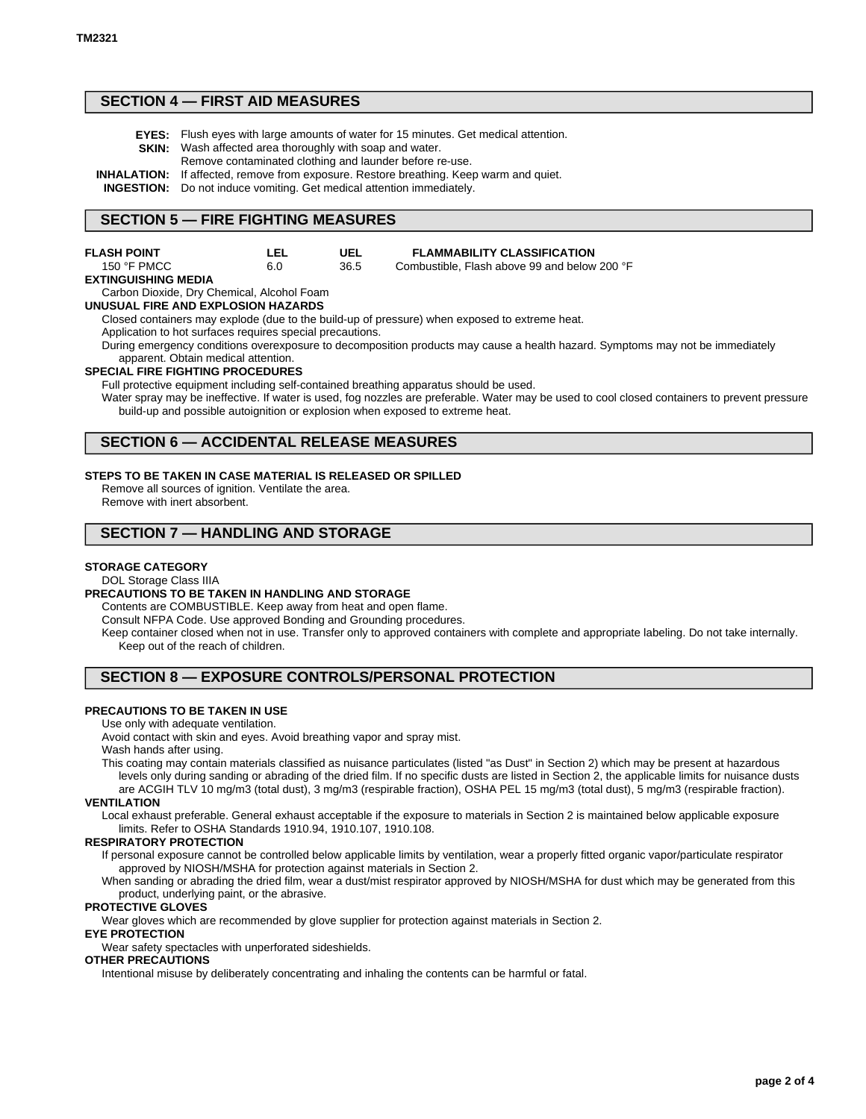# **SECTION 4 — FIRST AID MEASURES**

- **EYES:** Flush eyes with large amounts of water for 15 minutes. Get medical attention.
- **SKIN:** Wash affected area thoroughly with soap and water. Remove contaminated clothing and launder before re-use.
- **INHALATION:** If affected, remove from exposure. Restore breathing. Keep warm and quiet.

**INGESTION:** Do not induce vomiting. Get medical attention immediately.

### **SECTION 5 — FIRE FIGHTING MEASURES**

| <b>FLASH POINT</b>   | LEL | UEL  | <b>FLAMMABILITY CLASSIFICATION</b>           |
|----------------------|-----|------|----------------------------------------------|
| 150 $\degree$ F PMCC | 6.0 | 36.5 | Combustible. Flash above 99 and below 200 °F |

#### **EXTINGUISHING MEDIA**

Carbon Dioxide, Dry Chemical, Alcohol Foam

**UNUSUAL FIRE AND EXPLOSION HAZARDS**

Closed containers may explode (due to the build-up of pressure) when exposed to extreme heat.

Application to hot surfaces requires special precautions.

During emergency conditions overexposure to decomposition products may cause a health hazard. Symptoms may not be immediately apparent. Obtain medical attention.

#### **SPECIAL FIRE FIGHTING PROCEDURES**

Full protective equipment including self-contained breathing apparatus should be used.

Water spray may be ineffective. If water is used, fog nozzles are preferable. Water may be used to cool closed containers to prevent pressure build-up and possible autoignition or explosion when exposed to extreme heat.

## **SECTION 6 — ACCIDENTAL RELEASE MEASURES**

#### **STEPS TO BE TAKEN IN CASE MATERIAL IS RELEASED OR SPILLED**

Remove all sources of ignition. Ventilate the area. Remove with inert absorbent.

# **SECTION 7 — HANDLING AND STORAGE**

#### **STORAGE CATEGORY**

#### DOL Storage Class IIIA

#### **PRECAUTIONS TO BE TAKEN IN HANDLING AND STORAGE**

Contents are COMBUSTIBLE. Keep away from heat and open flame.

Consult NFPA Code. Use approved Bonding and Grounding procedures.

Keep container closed when not in use. Transfer only to approved containers with complete and appropriate labeling. Do not take internally. Keep out of the reach of children.

# **SECTION 8 — EXPOSURE CONTROLS/PERSONAL PROTECTION**

#### **PRECAUTIONS TO BE TAKEN IN USE**

Use only with adequate ventilation.

Avoid contact with skin and eyes. Avoid breathing vapor and spray mist.

Wash hands after using.

This coating may contain materials classified as nuisance particulates (listed "as Dust" in Section 2) which may be present at hazardous levels only during sanding or abrading of the dried film. If no specific dusts are listed in Section 2, the applicable limits for nuisance dusts are ACGIH TLV 10 mg/m3 (total dust), 3 mg/m3 (respirable fraction), OSHA PEL 15 mg/m3 (total dust), 5 mg/m3 (respirable fraction).

#### **VENTILATION**

Local exhaust preferable. General exhaust acceptable if the exposure to materials in Section 2 is maintained below applicable exposure limits. Refer to OSHA Standards 1910.94, 1910.107, 1910.108.

#### **RESPIRATORY PROTECTION**

If personal exposure cannot be controlled below applicable limits by ventilation, wear a properly fitted organic vapor/particulate respirator approved by NIOSH/MSHA for protection against materials in Section 2.

When sanding or abrading the dried film, wear a dust/mist respirator approved by NIOSH/MSHA for dust which may be generated from this product, underlying paint, or the abrasive.

### **PROTECTIVE GLOVES**

Wear gloves which are recommended by glove supplier for protection against materials in Section 2.

#### **EYE PROTECTION**

Wear safety spectacles with unperforated sideshields.

#### **OTHER PRECAUTIONS**

Intentional misuse by deliberately concentrating and inhaling the contents can be harmful or fatal.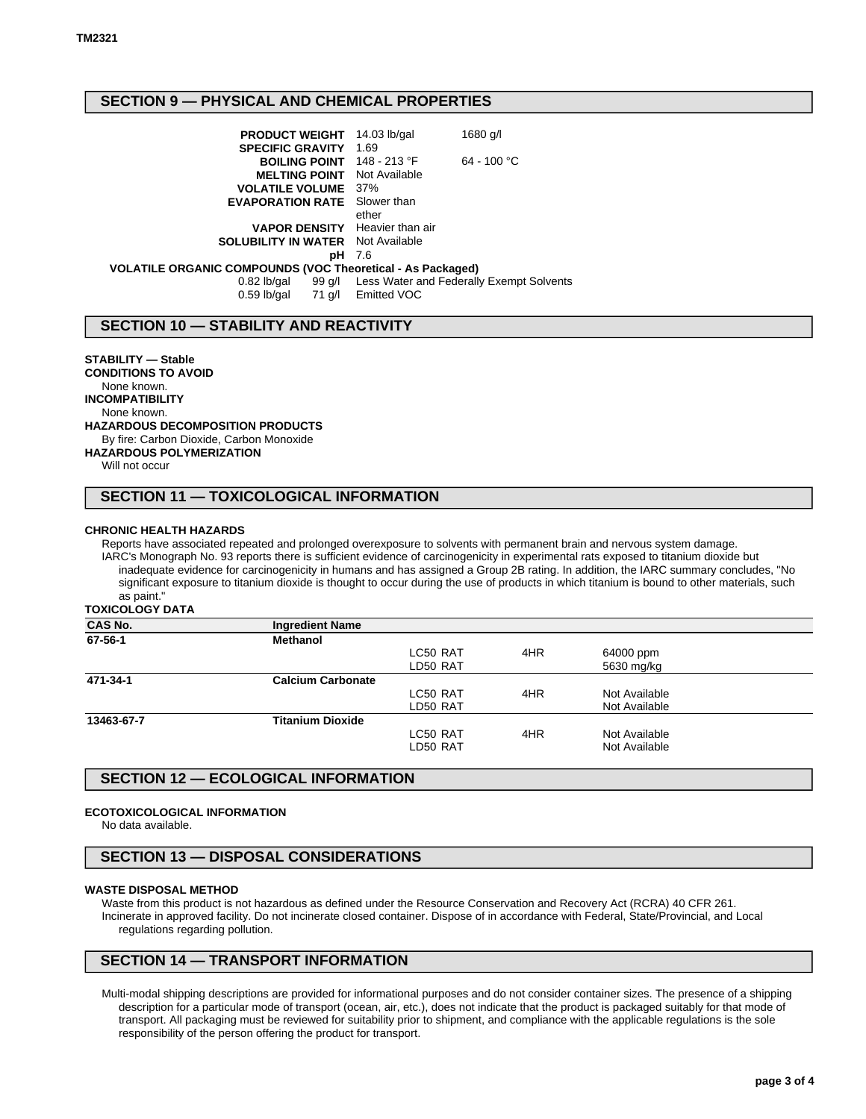# **SECTION 9 — PHYSICAL AND CHEMICAL PROPERTIES**

| <b>PRODUCT WEIGHT</b>                                      | 14.03 lb/gal       | 1680 g/l                                        |
|------------------------------------------------------------|--------------------|-------------------------------------------------|
| <b>SPECIFIC GRAVITY</b>                                    | 1.69               |                                                 |
| BOILING POINT 148 - 213 °F                                 |                    | $64 - 100 °C$                                   |
| <b>MELTING POINT</b>                                       | Not Available      |                                                 |
| <b>VOLATILE VOLUME</b> 37%                                 |                    |                                                 |
| <b>EVAPORATION RATE</b> Slower than                        |                    |                                                 |
|                                                            | ether              |                                                 |
| <b>VAPOR DENSITY</b> Heavier than air                      |                    |                                                 |
| <b>SOLUBILITY IN WATER</b> Not Available                   |                    |                                                 |
| рH                                                         | - 7.6              |                                                 |
| VOLATILE ORGANIC COMPOUNDS (VOC Theoretical - As Packaged) |                    |                                                 |
| $0.82$ lb/gal                                              |                    | 99 g/l Less Water and Federally Exempt Solvents |
| $0.59$ lb/gal                                              | 71 g/l Emitted VOC |                                                 |

# **SECTION 10 — STABILITY AND REACTIVITY**

**STABILITY — Stable CONDITIONS TO AVOID** None known. **INCOMPATIBILITY** None known. **HAZARDOUS DECOMPOSITION PRODUCTS** By fire: Carbon Dioxide, Carbon Monoxide **HAZARDOUS POLYMERIZATION** Will not occur

# **SECTION 11 — TOXICOLOGICAL INFORMATION**

#### **CHRONIC HEALTH HAZARDS**

Reports have associated repeated and prolonged overexposure to solvents with permanent brain and nervous system damage. IARC's Monograph No. 93 reports there is sufficient evidence of carcinogenicity in experimental rats exposed to titanium dioxide but inadequate evidence for carcinogenicity in humans and has assigned a Group 2B rating. In addition, the IARC summary concludes, "No significant exposure to titanium dioxide is thought to occur during the use of products in which titanium is bound to other materials, such as paint."

**TOXICOLOGY DATA**

| <b>CAS No.</b> | <b>Ingredient Name</b>   |          |     |               |  |
|----------------|--------------------------|----------|-----|---------------|--|
| 67-56-1        | <b>Methanol</b>          |          |     |               |  |
|                |                          | LC50 RAT | 4HR | 64000 ppm     |  |
|                |                          | LD50 RAT |     | 5630 mg/kg    |  |
| 471-34-1       | <b>Calcium Carbonate</b> |          |     |               |  |
|                |                          | LC50 RAT | 4HR | Not Available |  |
|                |                          | LD50 RAT |     | Not Available |  |
| 13463-67-7     | <b>Titanium Dioxide</b>  |          |     |               |  |
|                |                          | LC50 RAT | 4HR | Not Available |  |
|                |                          | LD50 RAT |     | Not Available |  |

# **SECTION 12 — ECOLOGICAL INFORMATION**

#### **ECOTOXICOLOGICAL INFORMATION**

No data available.

# **SECTION 13 — DISPOSAL CONSIDERATIONS**

#### **WASTE DISPOSAL METHOD**

Waste from this product is not hazardous as defined under the Resource Conservation and Recovery Act (RCRA) 40 CFR 261. Incinerate in approved facility. Do not incinerate closed container. Dispose of in accordance with Federal, State/Provincial, and Local regulations regarding pollution.

# **SECTION 14 — TRANSPORT INFORMATION**

Multi-modal shipping descriptions are provided for informational purposes and do not consider container sizes. The presence of a shipping description for a particular mode of transport (ocean, air, etc.), does not indicate that the product is packaged suitably for that mode of transport. All packaging must be reviewed for suitability prior to shipment, and compliance with the applicable regulations is the sole responsibility of the person offering the product for transport.